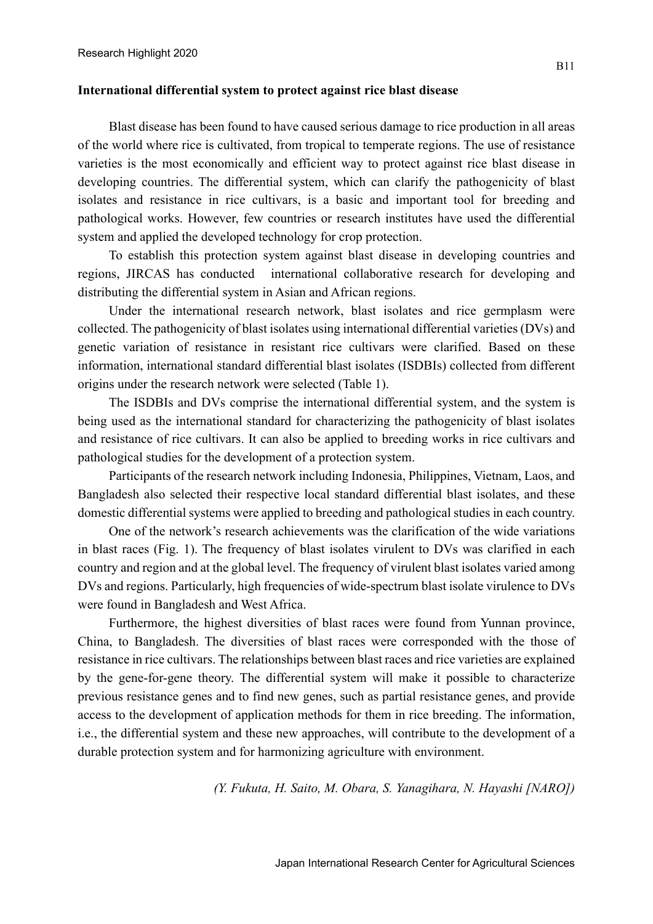## **International differential system to protect against rice blast disease**

Blast disease has been found to have caused serious damage to rice production in all areas of the world where rice is cultivated, from tropical to temperate regions. The use of resistance varieties is the most economically and efficient way to protect against rice blast disease in developing countries. The differential system, which can clarify the pathogenicity of blast isolates and resistance in rice cultivars, is a basic and important tool for breeding and pathological works. However, few countries or research institutes have used the differential system and applied the developed technology for crop protection.

To establish this protection system against blast disease in developing countries and regions, JIRCAS has conducted international collaborative research for developing and distributing the differential system in Asian and African regions.

Under the international research network, blast isolates and rice germplasm were collected. The pathogenicity of blast isolates using international differential varieties (DVs) and genetic variation of resistance in resistant rice cultivars were clarified. Based on these information, international standard differential blast isolates (ISDBIs) collected from different origins under the research network were selected (Table 1).

The ISDBIs and DVs comprise the international differential system, and the system is being used as the international standard for characterizing the pathogenicity of blast isolates and resistance of rice cultivars. It can also be applied to breeding works in rice cultivars and pathological studies for the development of a protection system.

Participants of the research network including Indonesia, Philippines, Vietnam, Laos, and Bangladesh also selected their respective local standard differential blast isolates, and these domestic differential systems were applied to breeding and pathological studies in each country.

One of the network's research achievements was the clarification of the wide variations in blast races (Fig. 1). The frequency of blast isolates virulent to DVs was clarified in each country and region and at the global level. The frequency of virulent blast isolates varied among DVs and regions. Particularly, high frequencies of wide-spectrum blast isolate virulence to DVs were found in Bangladesh and West Africa.

Furthermore, the highest diversities of blast races were found from Yunnan province, China, to Bangladesh. The diversities of blast races were corresponded with the those of resistance in rice cultivars. The relationships between blast races and rice varieties are explained by the gene-for-gene theory. The differential system will make it possible to characterize previous resistance genes and to find new genes, such as partial resistance genes, and provide access to the development of application methods for them in rice breeding. The information, i.e., the differential system and these new approaches, will contribute to the development of a durable protection system and for harmonizing agriculture with environment.

*(Y. Fukuta, H. Saito, M. Obara, S. Yanagihara, N. Hayashi [NARO])*